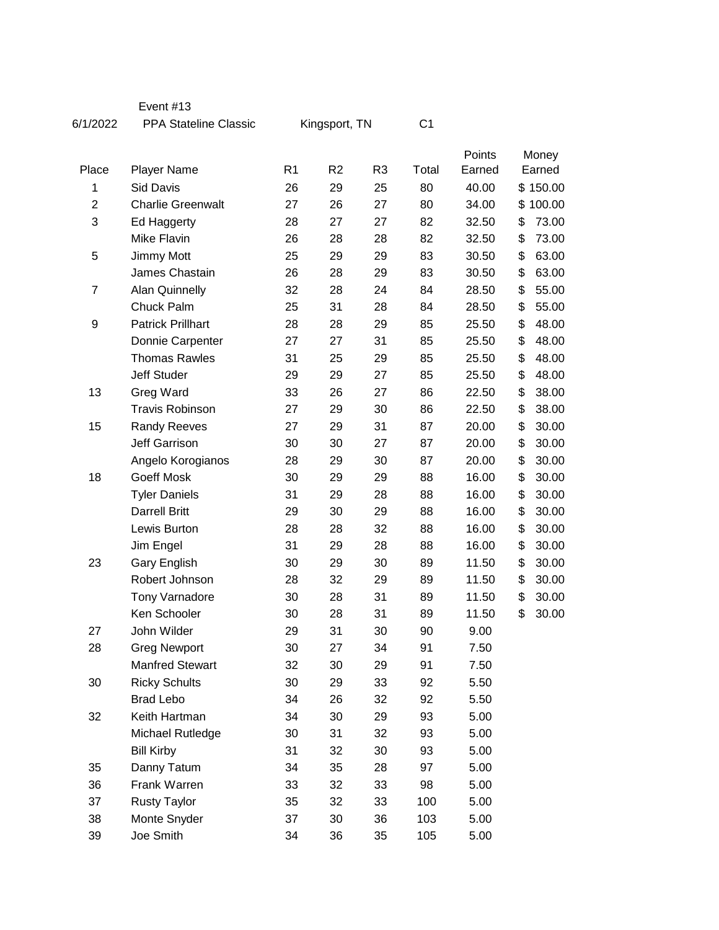| 6/1/2022       | <b>PPA Stateline Classic</b> | Kingsport, TN  |                |                | C1    |        |       |          |
|----------------|------------------------------|----------------|----------------|----------------|-------|--------|-------|----------|
|                |                              |                |                |                |       | Points | Money |          |
| Place          | <b>Player Name</b>           | R <sub>1</sub> | R <sub>2</sub> | R <sub>3</sub> | Total | Earned |       | Earned   |
| 1              | <b>Sid Davis</b>             | 26             | 29             | 25             | 80    | 40.00  |       | \$150.00 |
| $\overline{2}$ | <b>Charlie Greenwalt</b>     | 27             | 26             | 27             | 80    | 34.00  |       | \$100.00 |
| 3              | Ed Haggerty                  | 28             | 27             | 27             | 82    | 32.50  | \$    | 73.00    |
|                | Mike Flavin                  | 26             | 28             | 28             | 82    | 32.50  | \$    | 73.00    |
| 5              | Jimmy Mott                   | 25             | 29             | 29             | 83    | 30.50  | \$    | 63.00    |
|                | James Chastain               | 26             | 28             | 29             | 83    | 30.50  | \$    | 63.00    |
| 7              | <b>Alan Quinnelly</b>        | 32             | 28             | 24             | 84    | 28.50  | \$    | 55.00    |
|                | Chuck Palm                   | 25             | 31             | 28             | 84    | 28.50  | \$    | 55.00    |
| 9              | <b>Patrick Prillhart</b>     | 28             | 28             | 29             | 85    | 25.50  | \$    | 48.00    |
|                | Donnie Carpenter             | 27             | 27             | 31             | 85    | 25.50  | \$    | 48.00    |
|                | <b>Thomas Rawles</b>         | 31             | 25             | 29             | 85    | 25.50  | \$    | 48.00    |
|                | Jeff Studer                  | 29             | 29             | 27             | 85    | 25.50  | \$    | 48.00    |
| 13             | Greg Ward                    | 33             | 26             | 27             | 86    | 22.50  | \$    | 38.00    |
|                | <b>Travis Robinson</b>       | 27             | 29             | 30             | 86    | 22.50  | \$    | 38.00    |
| 15             | <b>Randy Reeves</b>          | 27             | 29             | 31             | 87    | 20.00  | \$    | 30.00    |
|                | <b>Jeff Garrison</b>         | 30             | 30             | 27             | 87    | 20.00  | \$    | 30.00    |
|                | Angelo Korogianos            | 28             | 29             | 30             | 87    | 20.00  | \$    | 30.00    |
| 18             | Goeff Mosk                   | 30             | 29             | 29             | 88    | 16.00  | \$    | 30.00    |
|                | <b>Tyler Daniels</b>         | 31             | 29             | 28             | 88    | 16.00  | \$    | 30.00    |
|                | <b>Darrell Britt</b>         | 29             | 30             | 29             | 88    | 16.00  | \$    | 30.00    |
|                | Lewis Burton                 | 28             | 28             | 32             | 88    | 16.00  | \$    | 30.00    |
|                | Jim Engel                    | 31             | 29             | 28             | 88    | 16.00  | \$    | 30.00    |
| 23             | <b>Gary English</b>          | 30             | 29             | 30             | 89    | 11.50  | \$    | 30.00    |
|                | Robert Johnson               | 28             | 32             | 29             | 89    | 11.50  | \$    | 30.00    |
|                | <b>Tony Varnadore</b>        | 30             | 28             | 31             | 89    | 11.50  | \$    | 30.00    |
|                | Ken Schooler                 | 30             | 28             | 31             | 89    | 11.50  | \$    | 30.00    |
| 27             | John Wilder                  | 29             | 31             | 30             | 90    | 9.00   |       |          |
| 28             | <b>Greg Newport</b>          | 30             | 27             | 34             | 91    | 7.50   |       |          |
|                | <b>Manfred Stewart</b>       | 32             | 30             | 29             | 91    | 7.50   |       |          |
| 30             | <b>Ricky Schults</b>         | 30             | 29             | 33             | 92    | 5.50   |       |          |
|                | <b>Brad Lebo</b>             | 34             | 26             | 32             | 92    | 5.50   |       |          |
| 32             | Keith Hartman                | 34             | 30             | 29             | 93    | 5.00   |       |          |
|                | Michael Rutledge             | 30             | 31             | 32             | 93    | 5.00   |       |          |
|                | <b>Bill Kirby</b>            | 31             | 32             | 30             | 93    | 5.00   |       |          |
| 35             | Danny Tatum                  | 34             | 35             | 28             | 97    | 5.00   |       |          |
| 36             | Frank Warren                 | 33             | 32             | 33             | 98    | 5.00   |       |          |
| 37             | <b>Rusty Taylor</b>          | 35             | 32             | 33             | 100   | 5.00   |       |          |
| 38             | Monte Snyder                 | 37             | 30             | 36             | 103   | 5.00   |       |          |
| 39             | Joe Smith                    | 34             | 36             | 35             | 105   | 5.00   |       |          |

Event #13